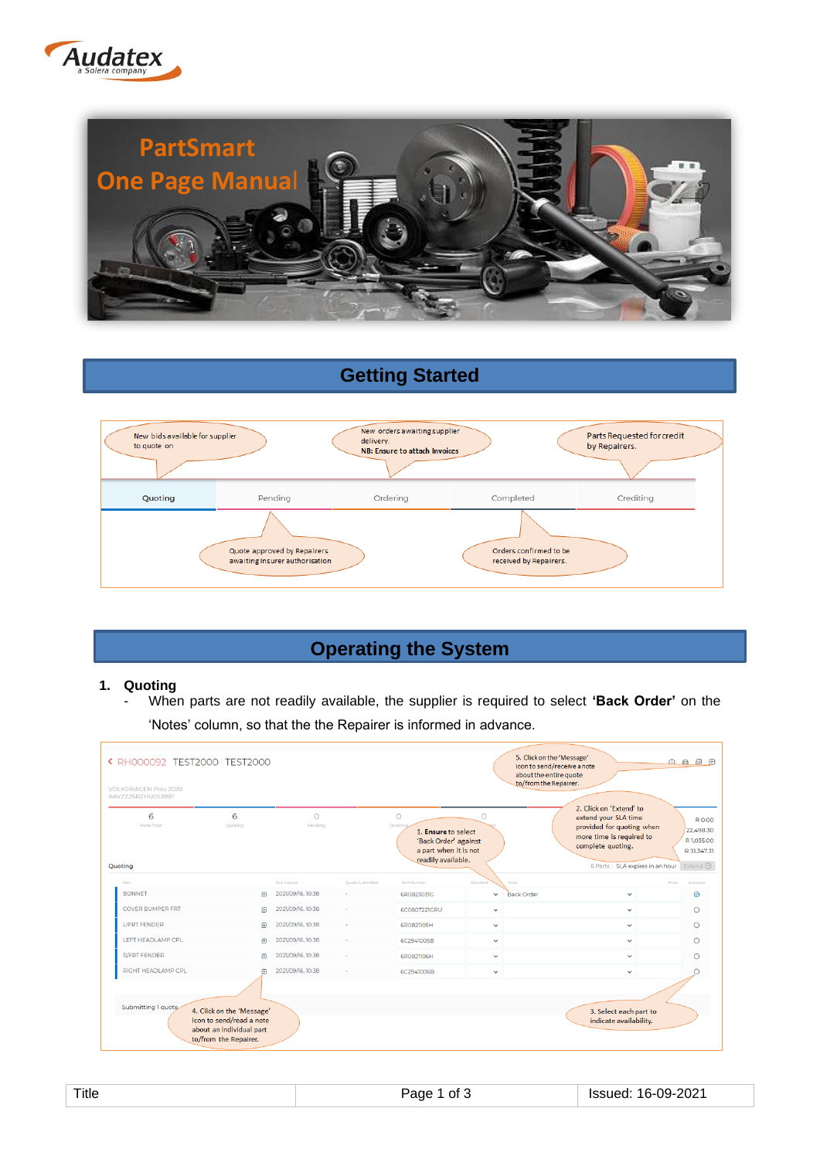



# **Getting Started**



## **Operating the System**

#### **1. Quoting**

- When parts are not readily available, the supplier is required to select **'Back Order'** on the 'Notes' column, so that the the Repairer is informed in advance.

| ← RH000092 TEST2000 TEST2000<br><b>VOLKSWAGEN Polo 2020</b><br>AAVZZZ6RZHU053897 |                                                                                                            |                     |                 |                                                                                                                  |              | 5. Click on the 'Message'<br>icon to send/receive a note<br>about the entire quote<br>to/from the Repairer.                                                       | $\begin{picture}(150,10) \put(0,0){\line(1,0){10}} \put(15,0){\line(1,0){10}} \put(15,0){\line(1,0){10}} \put(15,0){\line(1,0){10}} \put(15,0){\line(1,0){10}} \put(15,0){\line(1,0){10}} \put(15,0){\line(1,0){10}} \put(15,0){\line(1,0){10}} \put(15,0){\line(1,0){10}} \put(15,0){\line(1,0){10}} \put(15,0){\line(1,0){10}} \put(15,0){\line($ |
|----------------------------------------------------------------------------------|------------------------------------------------------------------------------------------------------------|---------------------|-----------------|------------------------------------------------------------------------------------------------------------------|--------------|-------------------------------------------------------------------------------------------------------------------------------------------------------------------|-----------------------------------------------------------------------------------------------------------------------------------------------------------------------------------------------------------------------------------------------------------------------------------------------------------------------------------------------------|
| 6<br>Parts Total<br>Quoting                                                      | 6<br>Quoting                                                                                               | $\Omega$<br>Pending |                 | $\circ$<br>Orderin<br>1. Ensure to select<br>'Back Order' against<br>a part when it is not<br>readily available. | $\Omega$     | 2. Click on 'Extend' to<br>extend your SLA time<br>provided for quoting when<br>more time is required to<br>complete quoting.<br>6 Parts   SLA expires in an hour | R 0.00<br>22,498.30<br>R 1.035.00<br>R 31.347.31<br>Extend (                                                                                                                                                                                                                                                                                        |
| Part                                                                             |                                                                                                            | <b>SLA Expires</b>  | Quote Submitted | Part Number                                                                                                      | Standard     | Note                                                                                                                                                              | <b>Price</b><br>Available                                                                                                                                                                                                                                                                                                                           |
| <b>BONNET</b>                                                                    | $\bigoplus$                                                                                                | 2021/09/16, 10:38   |                 | 6R0823031G                                                                                                       | $\checkmark$ | <b>Back Order</b><br>$\checkmark$                                                                                                                                 | ◎                                                                                                                                                                                                                                                                                                                                                   |
| <b>COVER BUMPER FRT</b>                                                          | $\bigoplus$                                                                                                | 2021/09/16, 10:38   |                 | 6C0807221GRU                                                                                                     | $\checkmark$ | $\checkmark$                                                                                                                                                      | $\bigcirc$                                                                                                                                                                                                                                                                                                                                          |
| <b>L/FRT FENDER</b>                                                              | $\bigoplus$                                                                                                | 2021/09/16, 10:38   |                 | 6R0821105H                                                                                                       | $\checkmark$ | $\checkmark$                                                                                                                                                      | $\bigcirc$                                                                                                                                                                                                                                                                                                                                          |
| LEFT HEADLAMP CPL                                                                | $\bigoplus$                                                                                                | 2021/09/16, 10:38   |                 | 6C2941005B                                                                                                       | $\checkmark$ | $\checkmark$                                                                                                                                                      | $\circ$                                                                                                                                                                                                                                                                                                                                             |
| <b>R/FRT FENDER</b>                                                              | 闸                                                                                                          | 2021/09/16, 10:38   |                 | 6R0821106H                                                                                                       | $\checkmark$ | $\checkmark$                                                                                                                                                      | $\bigcirc$                                                                                                                                                                                                                                                                                                                                          |
| RIGHT HEADLAMP CPL                                                               | 田                                                                                                          | 2021/09/16, 10:38   |                 | 6C2941006B                                                                                                       | $\checkmark$ | $\checkmark$                                                                                                                                                      |                                                                                                                                                                                                                                                                                                                                                     |
| Submitting 1 quote                                                               | 4. Click on the 'Message'<br>icon to send/read a note<br>about an individual part<br>to/from the Repairer. |                     |                 |                                                                                                                  |              | 3. Select each part to<br>indicate availability.                                                                                                                  |                                                                                                                                                                                                                                                                                                                                                     |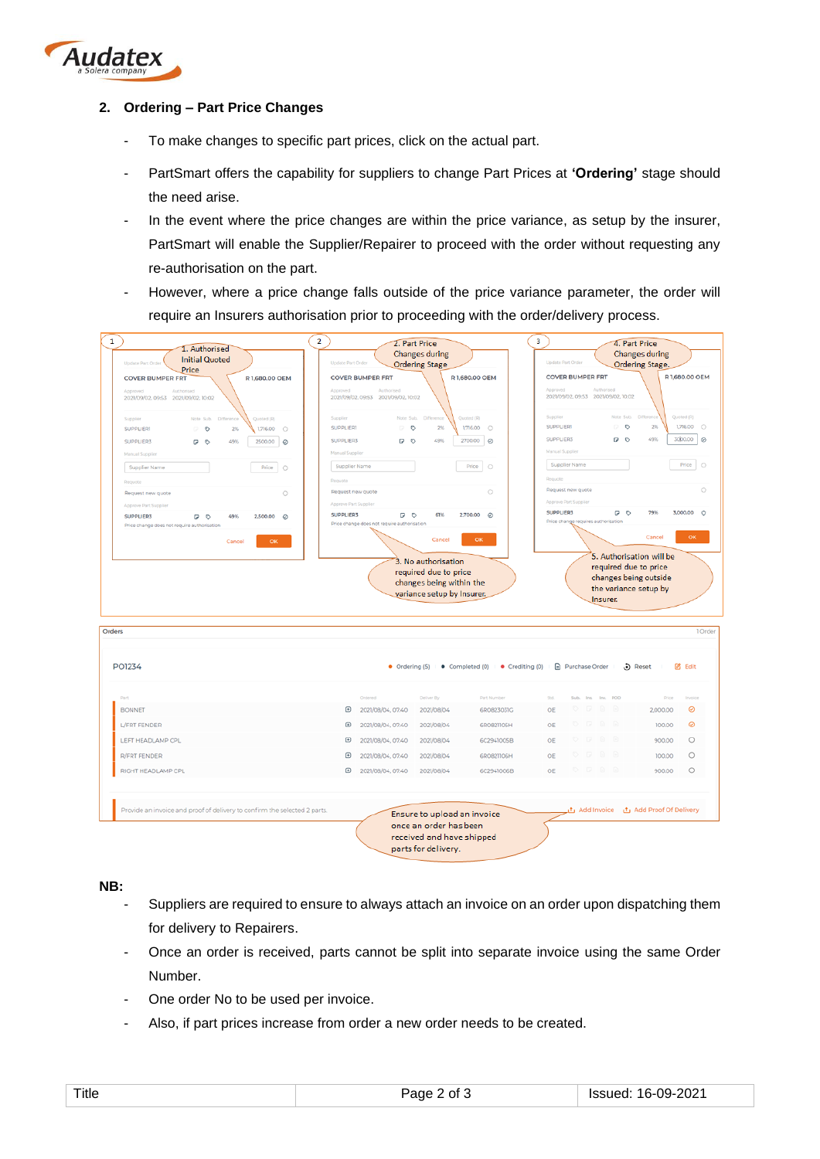

#### **2. Ordering – Part Price Changes**

- To make changes to specific part prices, click on the actual part.
- PartSmart offers the capability for suppliers to change Part Prices at **'Ordering'** stage should the need arise.
- In the event where the price changes are within the price variance, as setup by the insurer, PartSmart will enable the Supplier/Repairer to proceed with the order without requesting any re-authorisation on the part.
- However, where a price change falls outside of the price variance parameter, the order will require an Insurers authorisation prior to proceeding with the order/delivery process.



**NB:**

- Suppliers are required to ensure to always attach an invoice on an order upon dispatching them for delivery to Repairers.
- Once an order is received, parts cannot be split into separate invoice using the same Order Number.
- One order No to be used per invoice.
- Also, if part prices increase from order a new order needs to be created.

|--|